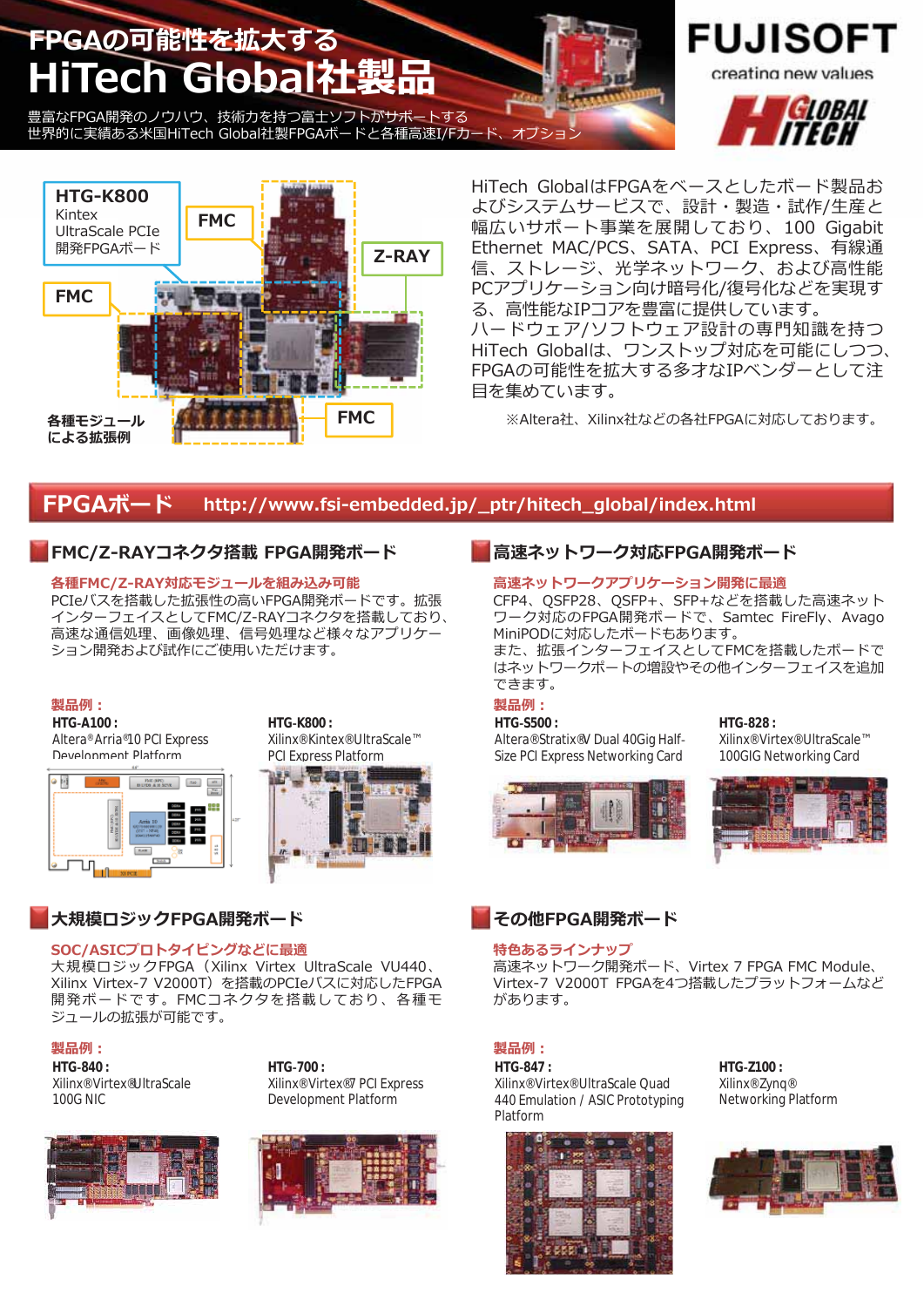# FPGAの可能性を拡大する HiTech Global社製

豊富なFPGA開発のノウハウ、技術力を持つ富士ソフトがサポートする 世界的に実績ある米国HiTech Global社製FPGAボードと各種高速I/Fカード、オプショ



HiTech GlobalはFPGAをベースとしたボード製品お よびシステムサービスで、設計・製造・試作/生産と 幅広いサポート事業を展開しており、100 Gigabit Ethernet MAC/PCS、SATA、PCI Express、有線通 信、ストレージ、光学ネットワーク、および高性能 PCアプリケーション向け暗号化/復号化などを実現す る、高性能なIPコアを豊富に提供しています。 ハードウェア/ソフトウェア設計の専門知識を持つ HiTech Globalは、ワンストップ対応を可能にしつつ、 FPGAの可能性を拡大する多才なIPベンダーとして注 目を集めています。

※Altera社、Xilinx社などの各社FPGAに対応しております。

#### FPGAボード http://www.fsi-embedded.jp/ ptr/hitech global/index.html

## FMC/Z-RAYコネクタ搭載 FPGA開発ボード

#### 各種FMC/Z-RAY対応モジュールを組み込み可能

PCIeバスを搭載した拡張性の高いFPGA開発ボードです。拡張 インターフェイスとしてFMC/Z-RAYコネクタを搭載しており、 高速な通信処理、画像処理、信号処理など様々なアプリケー ション開発および試作にご使用いただけます。

#### 製品例:

HTG-A100: Altera® Arria®10 PCI Express Development Platform



HTG-K800: Xilinx<sup>®</sup> Kintex<sup>®</sup> UltraScale™ **PCI Express Platform** 



## 大規模ロジックFPGA開発ボード

#### SOC/ASICプロトタイピングなどに最適

大規模ロジックFPGA (Xilinx Virtex UltraScale VU440、 Xilinx Virtex-7 V2000T) を搭載のPCIeバスに対応したFPGA 開発ボードです。FMCコネクタを搭載しており、各種モ ジュールの拡張が可能です。

#### 製品例:

HTG-840: Xilinx<sup>®</sup> Virtex<sup>®</sup>UltraScale 100G NIC

HTG-700: Xilinx<sup>®</sup> Virtex<sup>®</sup>7 PCI Express Development Platform





## 高速ネットワーク対応FPGA開発ボード

#### 高速ネットワークアプリケーション開発に最適

CFP4、QSFP28、QSFP+、SFP+などを搭載した高速ネット ワーク対応のFPGA開発ボードで、Samtec FireFly、Avago MiniPODに対応したボードもあります。

また、拡張インターフェイスとしてFMCを搭載したボードで はネットワークポートの増設やその他インターフェイスを追加 できます。

#### 製品例:

#### HTG-S500:

Altera® Stratix®V Dual 40Gig Half-Size PCI Express Networking Card



## HTG-828:

Xilinx<sup>®</sup> Virtex<sup>®</sup> UltraScale™ 100GIG Networking Card





#### 特色あるラインナップ

高速ネットワーク開発ボード、Virtex 7 FPGA FMC Module、 Virtex-7 V2000T FPGAを4つ搭載したプラットフォームなど があります。

#### 製品例:

HTG-847: Xilinx<sup>®</sup> Virtex<sup>®</sup> UltraScale Quad 440 Emulation / ASIC Prototyping Platform



HTG-Z100: Xilinx<sup>®</sup> Zvna® Networking Platform